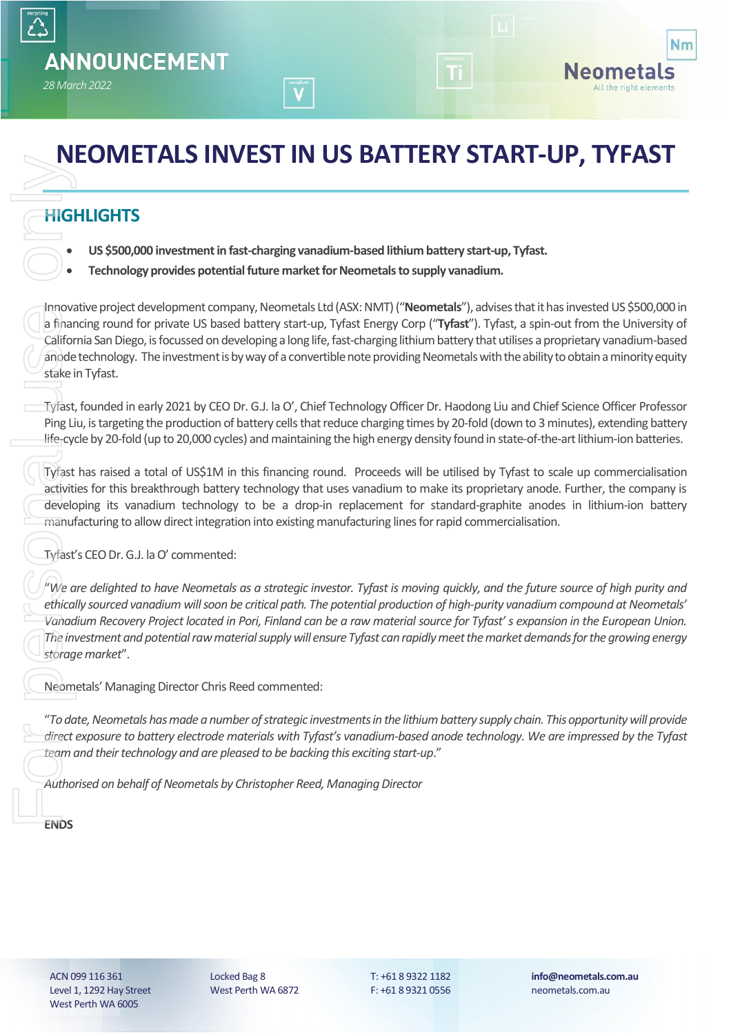

# **NEOMETALS INVEST IN US BATTERY START-UP, TYFAST**

### **HIGHLIGHTS**

- **US \$500,000 investment in fast-charging vanadium-based lithium battery start-up, Tyfast.**
- **Technology provides potential future market for Neometals to supply vanadium.**

Innovative project development company, Neometals Ltd (ASX: NMT) ("**Neometals**"), advises that it has invested US \$500,000 in a financing round for private US based battery start-up, Tyfast Energy Corp ("**Tyfast**"). Tyfast, a spin-out from the University of California San Diego, is focussed on developing a long life, fast-charging lithium battery that utilises a proprietary vanadium-based anode technology. The investment is by way of a convertible note providing Neometals with the ability to obtain a minority equity stake in Tyfast. **ENDS**<br> **ENDS**<br>
ENDS<br>
ENDS<br>
ENDS<br>
ENDS<br>
ENDS<br>
ENDS<br>
ENDS<br>
ENDS<br>
ENDS<br>
ENDS<br>
ENDS<br>
ENDS<br>
ENDS<br>
ENDS<br>
ENDS<br>
ENDS<br>
ENDS<br>
ENDS<br>
ENDS<br>
ENDS<br>
ENDS<br>
ENDS<br>
ENDS<br>
ENDS<br>
ENDS<br>
ENDS<br>
ENDS<br>
ENDS<br>
ENDS<br>
ENDS<br>
ENDS<br>
ENDS<br>
ENDS<br>
ENDS<br>
EN

Tyfast, founded in early 2021 by CEO Dr. G.J. la O', Chief Technology Officer Dr. Haodong Liu and Chief Science Officer Professor Ping Liu, is targeting the production of battery cells that reduce charging times by 20-fold (down to 3 minutes), extending battery life-cycle by 20-fold (up to 20,000 cycles) and maintaining the high energy density found in state-of-the-art lithium-ion batteries.

Tyfast has raised a total of US\$1M in this financing round. Proceeds will be utilised by Tyfast to scale up commercialisation activities for this breakthrough battery technology that uses vanadium to make its proprietary anode. Further, the company is developing its vanadium technology to be a drop-in replacement for standard-graphite anodes in lithium-ion battery manufacturing to allow direct integration into existing manufacturing lines for rapid commercialisation.

Tyfast's CEO Dr. G.J. la O' commented:

"*We are delighted to have Neometals as a strategic investor. Tyfast is moving quickly, and the future source of high purity and ethically sourced vanadium will soon be critical path. The potential production of high-purity vanadium compound at Neometals' Vanadium Recovery Project located in Pori, Finland can be a raw material source for Tyfast' s expansion in the European Union. The investment and potential raw material supply will ensure Tyfast can rapidly meet the market demands for the growing energy storage market*".

Neometals' Managing Director Chris Reed commented:

"*To date, Neometals has made a number of strategic investments in the lithium battery supply chain. This opportunity will provide direct exposure to battery electrode materials with Tyfast's vanadium-based anode technology. We are impressed by the Tyfast team and their technology and are pleased to be backing this exciting start-up*."

*Authorised on behalf of Neometals by Christopher Reed, Managing Director*

**ENDS** 

ACN 099 116 361 Level 1, 1292 Hay Street West Perth WA 6005

Locked Bag 8 West Perth WA 6872 T: +61 8 9322 1182 F: +61 8 9321 0556 **info@neometals.com.au** neometals.com.au

eometals All the right elements